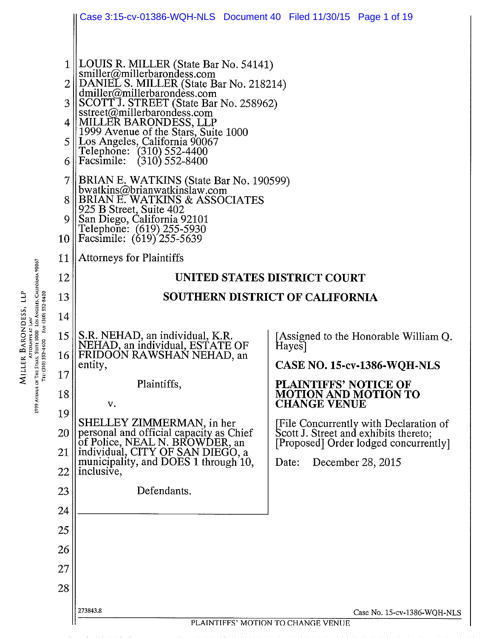|                                                                             |                   | Case 3:15-cv-01386-WQH-NLS  Document 40  Filed 11/30/15  Page 1 of 19                                                                                                                                                                                                                                                                                                                  |                                                                                                                          |  |  |  |  |  |
|-----------------------------------------------------------------------------|-------------------|----------------------------------------------------------------------------------------------------------------------------------------------------------------------------------------------------------------------------------------------------------------------------------------------------------------------------------------------------------------------------------------|--------------------------------------------------------------------------------------------------------------------------|--|--|--|--|--|
|                                                                             | 3<br>4<br>5<br>6  | LOUIS R. MILLER (State Bar No. 54141)<br>smiller@millerbarondess.com<br>DANIEL S. MILLER (State Bar No. 218214)<br>dmiller@millerbarondess.com<br>SCOTTJ. STREET (State Bar No. 258962)<br>sstreet@millerbarondess.com<br> MILLER BARONDESS, LLP<br>1999 Avenue of the Stars, Suite 1000<br>   Los Angeles, California 90067<br>Telephone: (310) 552-4400<br>Facsimile: (310) 552-8400 |                                                                                                                          |  |  |  |  |  |
|                                                                             | 7<br>8<br>9<br>10 | BRIAN E. WATKINS (State Bar No. 190599)<br>bwatkins@brianwatkinslaw.com<br>BRIAN E. WATKINS & ASSOCIATES<br>925 B Street, Suite 402<br>San Diego, California 92101<br>Telephone: (619) 255-5930<br>Facsimile: (619) 255-5639                                                                                                                                                           |                                                                                                                          |  |  |  |  |  |
|                                                                             | 11                | <b>Attorneys for Plaintiffs</b>                                                                                                                                                                                                                                                                                                                                                        |                                                                                                                          |  |  |  |  |  |
|                                                                             | 12                |                                                                                                                                                                                                                                                                                                                                                                                        | UNITED STATES DISTRICT COURT                                                                                             |  |  |  |  |  |
|                                                                             | 13                | <b>SOUTHERN DISTRICT OF CALIFORNIA</b>                                                                                                                                                                                                                                                                                                                                                 |                                                                                                                          |  |  |  |  |  |
| SUITE LUUU LOS ANGELES, CALIFORNIA 90067<br>FAx: (310) 552-8400<br>552-4400 | 14                |                                                                                                                                                                                                                                                                                                                                                                                        |                                                                                                                          |  |  |  |  |  |
|                                                                             | 15<br>16          | S.R. NEHAD, an individual, K.R.<br>NEHAD, an individual, ESTATE OF<br>FRIDOON RAWSHAN NEHAD, an<br>entity,                                                                                                                                                                                                                                                                             | [Assigned to the Honorable William Q.<br>Hayes<br><b>CASE NO. 15-cv-1386-WQH-NLS</b>                                     |  |  |  |  |  |
|                                                                             | 17                | Plaintiffs,                                                                                                                                                                                                                                                                                                                                                                            | <b>PLAINTIFFS' NOTICE OF</b><br><b>MOTION AND MOTION TO</b><br><b>CHANGE VENUE</b>                                       |  |  |  |  |  |
| L999 Avenue of The (310)<br>Tel: (310)                                      | 18                |                                                                                                                                                                                                                                                                                                                                                                                        |                                                                                                                          |  |  |  |  |  |
|                                                                             | 19                | V.                                                                                                                                                                                                                                                                                                                                                                                     | [File Concurrently with Declaration of<br>Scott J. Street and exhibits thereto;<br>[Proposed] Order lodged concurrently] |  |  |  |  |  |
|                                                                             | 20                | SHELLEY ZIMMERMAN, in her<br>personal and official capacity as Chief<br>of Police, NEAL N. BROWDER, an                                                                                                                                                                                                                                                                                 |                                                                                                                          |  |  |  |  |  |
|                                                                             | 21                | individual, CITY OF SAN DIEGO, a municipality, and DOES 1 through 10,                                                                                                                                                                                                                                                                                                                  | December 28, 2015<br>Date:                                                                                               |  |  |  |  |  |
|                                                                             | 22                | inclusive,                                                                                                                                                                                                                                                                                                                                                                             |                                                                                                                          |  |  |  |  |  |
|                                                                             | 23                | Defendants.                                                                                                                                                                                                                                                                                                                                                                            |                                                                                                                          |  |  |  |  |  |
|                                                                             | 24                |                                                                                                                                                                                                                                                                                                                                                                                        |                                                                                                                          |  |  |  |  |  |
|                                                                             | 25                |                                                                                                                                                                                                                                                                                                                                                                                        |                                                                                                                          |  |  |  |  |  |
|                                                                             | 26                |                                                                                                                                                                                                                                                                                                                                                                                        |                                                                                                                          |  |  |  |  |  |
|                                                                             | 27                |                                                                                                                                                                                                                                                                                                                                                                                        |                                                                                                                          |  |  |  |  |  |
|                                                                             | 28                |                                                                                                                                                                                                                                                                                                                                                                                        |                                                                                                                          |  |  |  |  |  |
|                                                                             |                   | 273843.8                                                                                                                                                                                                                                                                                                                                                                               | Case No. 15-cv-1386-WQH-NLS                                                                                              |  |  |  |  |  |
|                                                                             |                   |                                                                                                                                                                                                                                                                                                                                                                                        | PLAINTIFFS' MOTION TO CHANGE VENUE                                                                                       |  |  |  |  |  |

MILLER BARONDESS, LLP<br>https://www.facebook.com/<br>1999 Avenue of The Stars, Suite 1000 los Angeles, California 90067<br>Tel: (310) 532-4400 Fac (310) 532-8400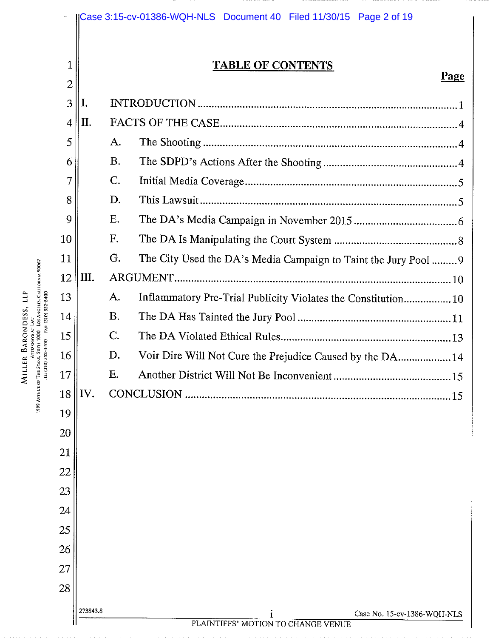|                                                                                                                 | 1              | <b>TABLE OF CONTENTS</b> |           |                                                                 |  |  |
|-----------------------------------------------------------------------------------------------------------------|----------------|--------------------------|-----------|-----------------------------------------------------------------|--|--|
|                                                                                                                 | $\overline{2}$ |                          |           | Page                                                            |  |  |
|                                                                                                                 | 3              | I.                       |           |                                                                 |  |  |
|                                                                                                                 | $\overline{4}$ | II.                      |           |                                                                 |  |  |
|                                                                                                                 | 5              |                          | A.        |                                                                 |  |  |
|                                                                                                                 | 6              |                          | <b>B.</b> |                                                                 |  |  |
|                                                                                                                 | 7              |                          | C.        |                                                                 |  |  |
|                                                                                                                 | 8              |                          | D.        |                                                                 |  |  |
|                                                                                                                 | 9              |                          | Ε.        |                                                                 |  |  |
|                                                                                                                 | 10             |                          | F.        |                                                                 |  |  |
|                                                                                                                 | 11             |                          | G.        | The City Used the DA's Media Campaign to Taint the Jury Pool  9 |  |  |
| 999 Avenue of The Staxs, Suite 1000   Los Angeles, Calhorna 90067<br>Tel: (310) 532-4400    Fax: (310) 532-8400 | 12             | III.                     |           |                                                                 |  |  |
|                                                                                                                 | 13             |                          | A.        | Inflammatory Pre-Trial Publicity Violates the Constitution 10   |  |  |
|                                                                                                                 | 14             |                          | Β.        |                                                                 |  |  |
|                                                                                                                 | 15             |                          | C.        |                                                                 |  |  |
|                                                                                                                 | 16             |                          | D.<br>Ε.  | Voir Dire Will Not Cure the Prejudice Caused by the DA 14       |  |  |
|                                                                                                                 | 17<br>18       | IV.                      |           | CONCLUSION                                                      |  |  |
|                                                                                                                 |                |                          |           | .15                                                             |  |  |
|                                                                                                                 | 19<br>20       |                          |           |                                                                 |  |  |
|                                                                                                                 | 21             |                          |           |                                                                 |  |  |
|                                                                                                                 | 22             |                          |           |                                                                 |  |  |
|                                                                                                                 | 23             |                          |           |                                                                 |  |  |
|                                                                                                                 | 24             |                          |           |                                                                 |  |  |
|                                                                                                                 | 25             |                          |           |                                                                 |  |  |
|                                                                                                                 | 26             |                          |           |                                                                 |  |  |
|                                                                                                                 | 27             |                          |           |                                                                 |  |  |
|                                                                                                                 | 28             |                          |           |                                                                 |  |  |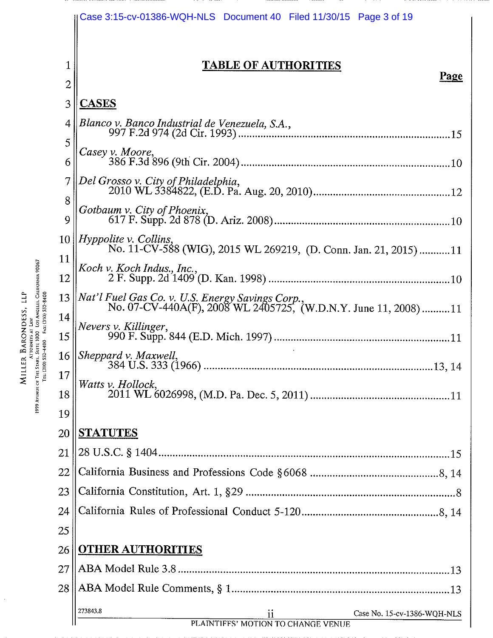|                                                                                                                                                 |                | Case 3:15-cv-01386-WQH-NLS  Document 40  Filed 11/30/15  Page 3 of 19                                                                  |
|-------------------------------------------------------------------------------------------------------------------------------------------------|----------------|----------------------------------------------------------------------------------------------------------------------------------------|
|                                                                                                                                                 |                | <b>TABLE OF AUTHORITIES</b>                                                                                                            |
|                                                                                                                                                 | $\overline{2}$ | <b>Page</b>                                                                                                                            |
|                                                                                                                                                 | 3              | <b>CASES</b>                                                                                                                           |
|                                                                                                                                                 | 4              | Blanco v. Banco Industrial de Venezuela, S.A.,                                                                                         |
|                                                                                                                                                 | 5              | Casey v. Moore,                                                                                                                        |
|                                                                                                                                                 | 6              |                                                                                                                                        |
|                                                                                                                                                 | 7              | Del Grosso v. City of Philadelphia,                                                                                                    |
|                                                                                                                                                 | 8<br>9<br>10   | Gotbaum v. City of Phoenix,                                                                                                            |
|                                                                                                                                                 |                | $ Hyp\rho$ olite v. Collins,<br>No. 11-CV-588 (WIG), 2015 WL 269219, (D. Conn. Jan. 21, 2015) 11                                       |
|                                                                                                                                                 | 11             | Koch v. Koch Indus., Inc.,                                                                                                             |
|                                                                                                                                                 | 12             |                                                                                                                                        |
|                                                                                                                                                 |                | 13 $\left\  Nat \right\ $ Fuel Gas Co. v. U.S. Energy Savings Corp.,<br>No. 07-CV-440A(F), 2008 WL 2405725, (W.D.N.Y. June 11, 2008)11 |
| WHLER BARONDESS, LLP<br>- Attorneys at Law<br>pt The Sens, Suit 1000-los Angeles, California 90067<br>Tel: (310) 832-4408 - Fax: (310) 832-8400 | 14<br>15       | Nevers v. Killinger,                                                                                                                   |
|                                                                                                                                                 |                | 16 <i>Sheppard v. Maxwell</i> ,<br>384 U.S. 333 (1966)<br>13, 14                                                                       |
|                                                                                                                                                 | 17             | Watts v. Hollock,                                                                                                                      |
| 1999 AVENUE OF THE S<br>TEL (3)                                                                                                                 | 18             |                                                                                                                                        |
|                                                                                                                                                 | 19             |                                                                                                                                        |
|                                                                                                                                                 | 20<br>21       | <b>STATUTES</b>                                                                                                                        |
|                                                                                                                                                 | 22             |                                                                                                                                        |
|                                                                                                                                                 | 23             |                                                                                                                                        |
|                                                                                                                                                 | 24             |                                                                                                                                        |
|                                                                                                                                                 | 25             |                                                                                                                                        |
|                                                                                                                                                 | 26             | <b>OTHER AUTHORITIES</b>                                                                                                               |
|                                                                                                                                                 | 27             |                                                                                                                                        |
|                                                                                                                                                 | 28             |                                                                                                                                        |
|                                                                                                                                                 |                | 273843.8<br>Case No. 15-cv-1386-WQH-NLS<br>$\overline{\mathbf{1}}$<br>PLAINTIFFS' MOTION TO CHANGE VENUE                               |

 $\ddot{\phantom{0}}$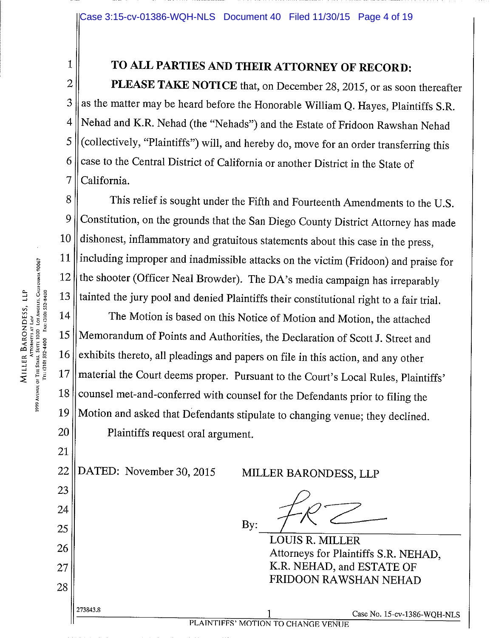# 1 TO ALL PARTIES AND THEIR ATTORNEY OF RECORD:

**PLEASE TAKE NOTICE** that, on December 28, 2015, or as soon thereafter as the matter may be heard before the Honorable William Q. Hayes, Plaintiffs S.R. Nehad and K.R. Nehad (the "Nehads") and the Estate of Fridoon Rawshan Nehad (collectively, "Plaintiffs") will, and hereby do, move for an order transferring this case to the Central District of California or another District in the State of 7 || California.

8 | This relief is sought under the Fifth and Fourteenth Amendments to the U.S. 9 Constitution, on the grounds that the San Diego County District Attorney has made  $10$  dishonest, inflammatory and gratuitous statements about this case in the press, 11 || including improper and inadmissible attacks on the victim (Fridoon) and praise for 12 the shooter (Officer Neal Browder). The DA's media campaign has irreparably  $\frac{13}{13}$  tainted the jury pool and denied Plaintiffs their constitutional right to a fair trial.

 $14$  The Motion is based on this Notice of Motion and Motion, the attached 15 || Memorandum of Points and Authorities, the Declaration of Scott J. Street and  $16$  exhibits thereto, all pleadings and papers on file in this action, and any other 17 || material the Court deems proper. Pursuant to the Court's Local Rules, Plaintiffs'  $18$  counsel met-and-conferred with counsel for the Defendants prior to filing the 19 Motion and asked that Defendants stipulate to changing venue; they declined. 20 || Plaintiffs request oral argument.

22 DATED: November 30, 2015 MILLER BARONDESS, LLP

 $By:$   $\frac{f(1)}{f(2)}$ 

LOUIS R. MILLER 26 Attorneys for Plaintiffs S.R. NEHAD,  $27$  || K.R. NEHAD, and ESTATE OF FRIDOON RAWSHAN NEHAD

273843.8 1 Case No. 15-cv-1386-WQH-NLS

21

23

24

25

28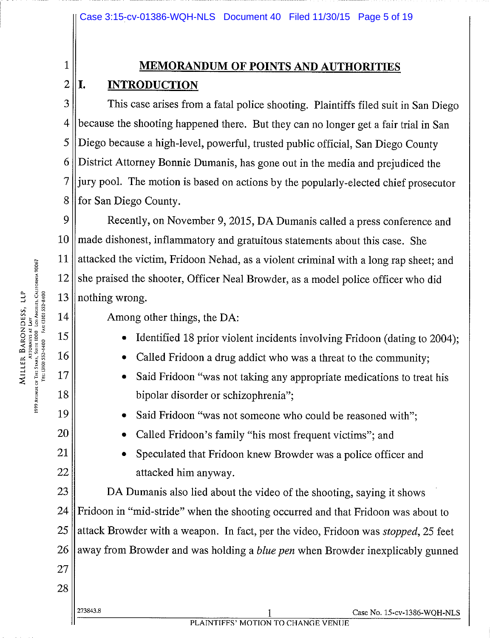# 1 MEMORANDUM OF POINTS AND AUTHORITIES

# $2$ ||I. INTRODUCTION

3 || This case arises from a fatal police shooting. Plaintiffs filed suit in San Diego | because the shooting happened there. But they can no longer get a fair trial in San Diego because <sup>a</sup> high-level, powerful, trusted public official, San Diego County District Attorney Bonnie Dumanis, has gone out in the media and prejudiced the ||jury pool. The motion is based on actions by the popularly-elected chief prosecutor 8 | for San Diego County.

9 | Recently, on November 9, 2015, DA Dumanis called a press conference and made dishonest, inflammatory and gratuitous statements about this case. She  $\parallel$  attacked the victim, Fridoon Nehad, as a violent criminal with a long rap sheet; and she praised the shooter, Officer Neal Browder, as a model police officer who did || nothing wrong.

- 15 **•** Identified 18 prior violent incidents involving Fridoon (dating to 2004);
- $16 \parallel \cdot \cdot \cdot$  Called Fridoon a drug addict who was a threat to the community;
- 17 **•** Said Fridoon "was not taking any appropriate medications to treat his 18 bipolar disorder or schizophrenia";
- 19 **•** Said Fridoon "was not someone who could be reasoned with";
- 20 **•** Called Fridoon's family "his most frequent victims"; and
- 21 **•** Speculated that Fridoon knew Browder was a police officer and 22 attacked him anyway.

23 **DA** Dumanis also lied about the video of the shooting, saying it shows  $24$  Fridoon in "mid-stride" when the shooting occurred and that Fridoon was about to 25 attack Browder with a weapon. In fact, per the video, Fridoon was *stopped*, 25 feet 26 away from Browder and was holding a *blue pen* when Browder inexplicably gunned

 $\begin{bmatrix}\n\frac{1}{2} & \frac{3}{5} & \frac{2}{5} & \frac{5}{5} & \frac{5}{5} & \frac{5}{5} & \frac{5}{5} & \frac{5}{5} & \frac{5}{5} & \frac{5}{5} & \frac{5}{5} & \frac{5}{5} & \frac{5}{5} & \frac{5}{5} & \frac{5}{5} & \frac{5}{5} & \frac{5}{5} & \frac{5}{5} & \frac{5}{5} & \frac{5}{5} & \frac{5}{5} & \frac{5}{5} & \frac{5}{5} & \frac{5}{5} & \frac{5}{5} & \frac{5}{5} & \frac{5}{$ Attornes at Law<br>1999 Avenue of The Stars, Suite 1000 - Los Angeles, Calhornia 90067<br>Tel: (310) 552-4400 - Fax: (310) 552-8400

27

28

273843.8 <sup>1</sup> Case No. 15.cv.1386-wQH-NLS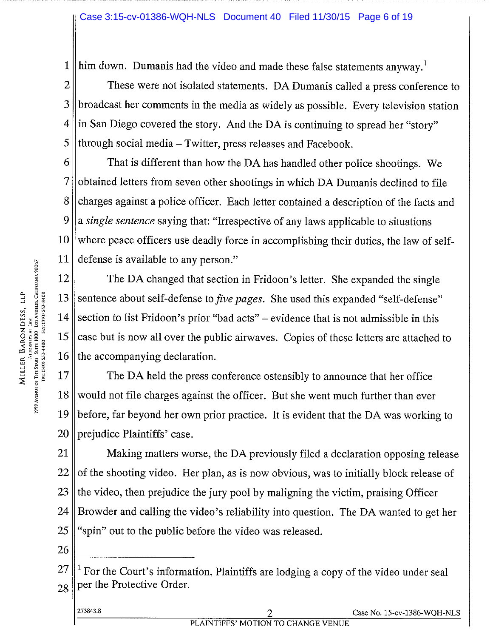#### Case 3:15-cv-01386-WQH-NLS Document 40 Filed 11/30/15 Page 6 of 19

1 him down. Dumanis had the video and made these false statements anyway.<sup>1</sup>

2 ||<br>These were not isolated statements. DA Dumanis called a press conference to broadcast her comments in the media as widely as possible. Every television station || in San Diego covered the story. And the DA is continuing to spread her "story" through social media – Twitter, press releases and Facebook.

 $6 \parallel$  That is different than how the DA has handled other police shootings. We obtained letters from seven other shootings in which DA Dumanis declined to file 8 charges against a police officer. Each letter contained a description of the facts and a single sentence saying that: "Irrespective of any laws applicable to situations where peace officers use deadly force in accomplishing their duties, the law of self-defense is available to any person."

12 The DA changed that section in Fridoon's letter. She expanded the single 13 Sentence about self-defense to *five pages*. She used this expanded "self-defense" 14 Section to list Fridoon's prior "bad acts" – evidence that is not admissible in this 15 case but is now all over the public airwaves. Copies of these letters are attached to 16 the accompanying declaration.

17 The DA held the press conference ostensibly to announce that her office 18 would not file charges against the officer. But she went much further than ever 19 before, far beyond her own prior practice. It is evident that the DA was working to 20 || prejudice Plaintiffs' case.

 Making matters worse, the DA previously filed <sup>a</sup> declaration opposing release of the shooting video. Her plan, as is now obvious, was to initially block release of the video, then prejudice the jury pool by maligning the victim, praising Officer Browder and calling the video's reliability into question. The DA wanted to get her "spin" out to the public before the video was released.

 $26 \parallel$ 

| 273843.8 |                                    | Case No. 15-cv-1386-WQH-NLS |
|----------|------------------------------------|-----------------------------|
|          | PLAINTIFFS' MOTION TO CHANGE VENUE |                             |

 $27 \parallel^1$  For the Court's information, Plaintiffs are lodging a copy of the video under seal  $28$  per the Protective Order.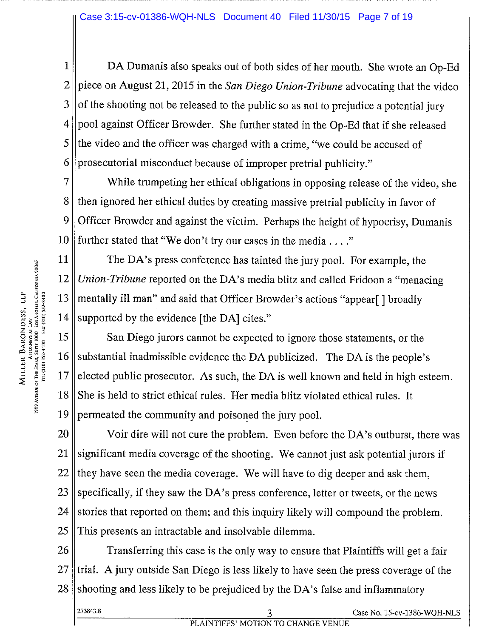DA Dumanis also speaks out of both sides of her mouth. She wrote an Op-Ed 2 piece on August 21, 2015 in the San Diego Union-Tribune advocating that the video of the shooting not be released to the public so as not to prejudice a potential jury | pool against Officer Browder. She further stated in the Op-Ed that if she released | the video and the officer was charged with a crime, "we could be accused of 6 prosecutorial misconduct because of improper pretrial publicity."

7 While trumpeting her ethical obligations in opposing release of the video, she 8 then ignored her ethical duties by creating massive pretrial publicity in favor of 9 | Officer Browder and against the victim. Perhaps the height of hypocrisy, Dumanis 10 further stated that "We don't try our cases in the media..."

11 The DA's press conference has tainted the jury pool. For example, the 12 Union-Tribune reported on the DA's media blitz and called Fridoon a "menacing"  $14$  supported by the evidence [the DA] cites."

 $\frac{1}{2}$ <br>  $\frac{1}{2}$ <br>  $\frac{1}{2}$ <br>  $\frac{1}{2}$ <br>  $\frac{1}{2}$ <br>  $\frac{1}{2}$ <br>  $\frac{1}{2}$ <br>  $\frac{1}{2}$ <br>  $\frac{1}{2}$ <br>  $\frac{1}{2}$ <br>  $\frac{1}{2}$ <br>  $\frac{1}{2}$ <br>  $\frac{1}{2}$ <br>  $\frac{1}{2}$ <br>  $\frac{1}{2}$ <br>  $\frac{1}{2}$ <br>  $\frac{1}{2}$ <br>  $\frac{1}{2}$ <br>  $\frac{1}{2}$ <br>  $\frac{1}{2}$ <br> 15 San Diego jurors cannot be expected to ignore those statements, or the 16 Substantial inadmissible evidence the DA publicized. The DA is the people's  $17$  elected public prosecutor. As such, the DA is well known and held in high esteem. 18 She is held to strict ethical rules. Her media blitz violated ethical rules. It 19 permeated the community and poisoned the jury pool.

20 Voir dire will not cure the problem. Even before the DA's outburst, there was  $21$  significant media coverage of the shooting. We cannot just ask potential jurors if  $22$  they have seen the media coverage. We will have to dig deeper and ask them, 23 specifically, if they saw the DA's press conference, letter or tweets, or the news  $24$  stories that reported on them; and this inquiry likely will compound the problem. 25 This presents an intractable and insolvable dilemma.

26 Transferring this case is the only way to ensure that Plaintiffs will get a fair  $27$  ftrial. A jury outside San Diego is less likely to have seen the press coverage of the  $28$  shooting and less likely to be prejudiced by the DA's false and inflammatory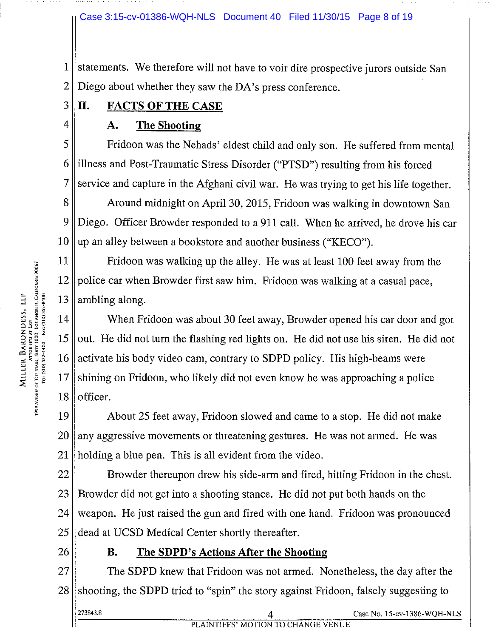#### Case 3:15-cv-01386-WQH-NLS Document 40 Filed 11/30/15 Page 8 of 19

 $1$  statements. We therefore will not have to voir dire prospective jurors outside San  $2 \parallel$  Diego about whether they saw the DA's press conference.

3 III. FACTS OF THE CASE

## $4 \parallel$  A. The Shooting

 $5 \parallel$  Fridoon was the Nehads' eldest child and only son. He suffered from mental 6 || illness and Post-Traumatic Stress Disorder ("PTSD") resulting from his forced  $7$  service and capture in the Afghani civil war. He was trying to get his life together.

8 | Around midnight on April 30, 2015, Fridoon was walking in downtown San 9 Diego. Officer Browder responded to <sup>a</sup> 911 call. When he arrived, he drove his car  $10 \parallel$  up an alley between a bookstore and another business ("KECO").

11 Fridoon was walking up the alley. He was at least 100 feet away from the  $12$  police car when Browder first saw him. Fridoon was walking at a casual pace,

 $\frac{1}{2}$ <br>  $\frac{1}{2}$ <br>  $\frac{1}{2}$ <br>  $\frac{1}{2}$ <br>  $\frac{1}{2}$ <br>  $\frac{1}{2}$ <br>  $\frac{1}{2}$ <br>  $\frac{1}{2}$ <br>  $\frac{1}{2}$ <br>  $\frac{1}{2}$ <br>  $\frac{1}{2}$ <br>  $\frac{1}{2}$ <br>  $\frac{1}{2}$ <br>  $\frac{1}{2}$ <br>  $\frac{1}{2}$ <br>  $\frac{1}{2}$ <br>  $\frac{1}{2}$ <br>  $\frac{1}{2}$ <br>  $\frac{1}{2}$ <br>  $\frac{1}{2}$ <br> When Fridoon was about 30 feet away, Browder opened his car door and got || out. He did not turn the flashing red lights on. He did not use his siren. He did not 16 activate his body video cam, contrary to SDPD policy. His high-beams were shining on Fridoon, who likely did not even know he was approaching a police | officer.

19 About 25 feet away, Fridoon slowed and came to <sup>a</sup> stop. He did not make  $20$  || any aggressive movements or threatening gestures. He was not armed. He was  $21$  || holding a blue pen. This is all evident from the video.

 Browder thereupon drew his side-arm and fired, hitting Fridoon in the chest. Browder did not get into a shooting stance. He did not put both hands on the 24 weapon. He just raised the gun and fired with one hand. Fridoon was pronounced  $\parallel$  dead at UCSD Medical Center shortly thereafter.

## 26 **B.** The SDPD's Actions After the Shooting

27 The SDPD knew that Fridoon was not armed. Nonetheless, the day after the  $28$  shooting, the SDPD tried to "spin" the story against Fridoon, falsely suggesting to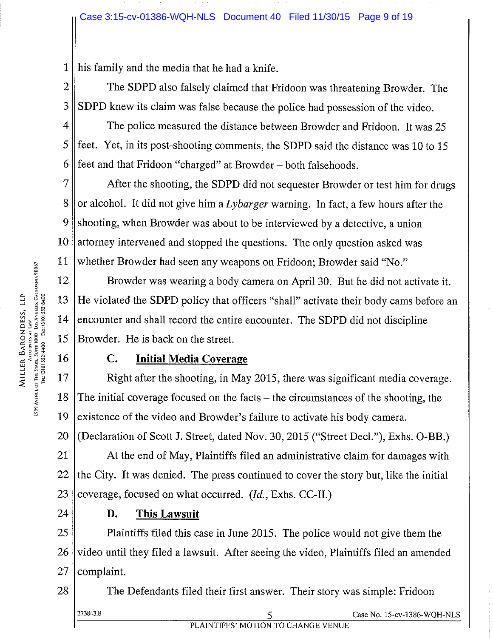$1$  || his family and the media that he had a knife.

2 || The SDPD also falsely claimed that Fridoon was threatening Browder. The  $3 \parallel$  SDPD knew its claim was false because the police had possession of the video.

 $4 \parallel$  The police measured the distance between Browder and Fridoon. It was 25  $5$  || feet. Yet, in its post-shooting comments, the SDPD said the distance was 10 to 15 6 feet and that Fridoon "charged" at Browder – both falsehoods.

 $7 \parallel$  After the shooting, the SDPD did not sequester Browder or test him for drugs 8 || or alcohol. It did not give him a Lybarger warning. In fact, a few hours after the 9 Shooting, when Browder was about to be interviewed by a detective, a union 10 attorney intervened and stopped the questions. The only question asked was

<sup>32</sup><br>
<sup>32</sup><br>
<sup>32</sup><br>
<sup>32</sup><br>
<sup>32</sup><br>
<sup>33</sup><br>
<sup>33</sup><br>
<sup>33</sup><br>
<sup>33</sup><br>
<sup>33</sup><br>
<sup>33</sup><br>
<sup>34</sup><br>
<sup>34</sup><br>
<sup>34</sup><br>
<sup>35</sup><br>
<sup>34</sup><br>
<sup>35</sup><br>
<sup>35</sup><br>
<sup>35</sup><br>
<sup>35</sup><br>
<sup>35</sup><br>
<sup>35</sup><br>
<sup>35</sup><br>
<sup>35</sup><br>
<sup>35</sup><br>
<sup>35</sup><br>
<sup>35</sup><br>
<sup>35</sup><br>
<sup>35</sup><br>
<sup>35</sup><br>
<sup>35</sup><br>
<sup>35</sup><br>
<sup>35</sup><br>
<sup>35</sup><br>
<sup>35</sup><br>
<sup>35</sup><br>
<sup>35</sup><br>  $||12||$  Browder was wearing a body camera on April 30. But he did not activate it. 13 He violated the SDPD policy that officers "shall" activate their body cams before an  $\frac{1}{2}$   $\frac{3}{8}$   $\frac{2}{8}$   $\frac{3}{8}$   $\frac{3}{8}$   $\frac{3}{8}$   $\frac{3}{8}$   $\frac{3}{8}$   $\frac{3}{8}$   $\frac{3}{8}$   $\frac{3}{8}$   $\frac{3}{8}$   $\frac{3}{8}$   $\frac{3}{8}$   $\frac{3}{8}$   $\frac{3}{8}$   $\frac{3}{8}$   $\frac{3}{8}$   $\frac{3}{8}$   $\frac{3}{8}$   $\frac{3}{8}$   $\frac{3}{8}$   $15$  Browder. He is back on the street.

## 16 || C. Initial Media Coverage

 $~17$  |  $~$  Right after the shooting, in May 2015, there was significant media coverage.  $18$  The initial coverage focused on the facts – the circumstances of the shooting, the  $19$  existence of the video and Browder's failure to activate his body camera. 20 (Declaration of Scott J. Street, dated Nov. 30, 2015 ("Street Decl."), Exhs. O-BB.)

 $21$  || At the end of May, Plaintiffs filed an administrative claim for damages with  $22$  the City. It was denied. The press continued to cover the story but, like the initial 23 || coverage, focused on what occurred.  $(Id., Ex$ hs. CC-II.)

## $24$   $\parallel$  **D.** This Lawsuit

25 ||<br>
Plaintiffs filed this case in June 2015. The police would not give them the  $26$  video until they filed a lawsuit. After seeing the video, Plaintiffs filed an amended  $27$  | complaint.

28 The Defendants filed their first answer. Their story was simple: Fridoon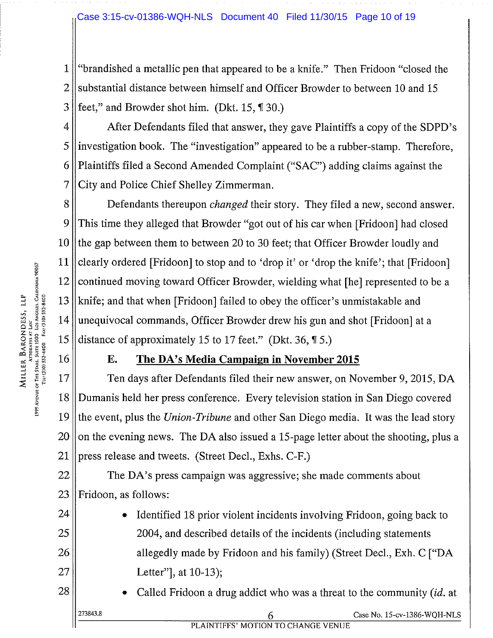#### Case 3:15-cv-01386-WQH-NLS Document 40 Filed 11/30/15 Page 10 of 19

<sup>1</sup> "brandished <sup>a</sup> metallic pen that appeared to be a knife." Then Fridoon "closed the 2 substantial distance between himself and Officer Browder to between 10 and 15  $3$  feet," and Browder shot him. (Dkt. 15, ¶ 30.)

4 After Defendants filed that answer, they gave Plaintiffs a copy of the SDPD's 5 investigation book. The "investigation" appeared to be <sup>a</sup> rubber-stamp. Therefore, 6 Plaintiffs filed <sup>a</sup> Second Amended Complaint ("SAC") adding claims against the 7 City and Police Chief Shelley Zimmerman.

8 **Defendants thereupon** *changed* their story. They filed a new, second answer. 9 This time they alleged that Browder "got out of his car when [Fridoon] had closed 10 the gap between them to between 20 to 30 feet; that Officer Browder loudly and 11 clearly ordered [Fridoon] to stop and to 'drop it' or 'drop the knife'; that [Fridoon] 12 continued moving toward Officer Browder, wielding what [he] represented to be a 13 || knife; and that when [Fridoon] failed to obey the officer's unmistakable and 14 unequivocal commands, Officer Browder drew his gun and shot [Fridoon] at <sup>a</sup> 15 distance of approximately 15 to 17 feet." (Dkt. 36,  $\overline{15}$ .) <sup>~</sup> <sup>~</sup> 17 Ten days after Defendants filed their new answer, on November 9, 2015, DA

## 16 **E.** The DA's Media Campaign in November 2015

18 Dumanis held her press conference. Every television station in San Diego covered 19 the event, plus the Union-Tribune and other San Diego media. It was the lead story  $20$  on the evening news. The DA also issued a 15-page letter about the shooting, plus a 21 | press release and tweets. (Street Decl., Exhs. C-F.)

 $22$  The DA's press campaign was aggressive; she made comments about  $23$  || Fridoon, as follows:

- 24  $\parallel$  Identified 18 prior violent incidents involving Fridoon, going back to 25 || 2004, and described details of the incidents (including statements 26 || allegedly made by Fridoon and his family) (Street Decl., Exh. C ["DA 27 || Letter", at 10-13);
- 28  $\parallel$  Called Fridoon a drug addict who was a threat to the community (id. at  $\sigma$  Case No. 15-cv-1386-WQH-NLS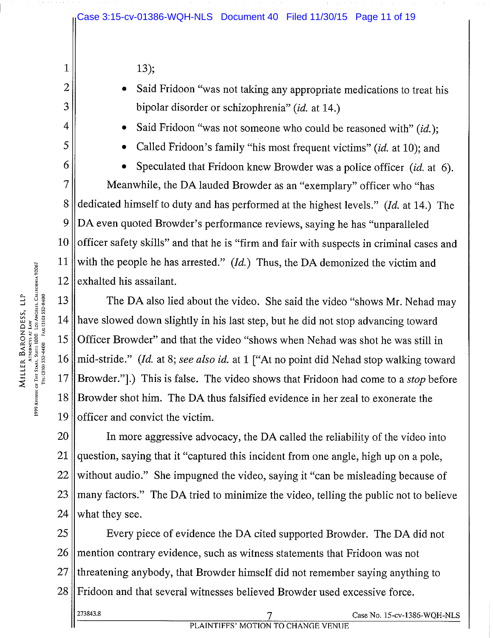$1 \parallel$  13);

- 2  $\parallel$  Said Fridoon "was not taking any appropriate medications to treat his  $3 \parallel$  bipolar disorder or schizophrenia" (id. at 14.)
- 4  $\parallel$  Said Fridoon "was not someone who could be reasoned with" (id.);
- $5 \parallel \bullet$  Called Fridoon's family "his most frequent victims" (id. at 10); and

**•** Speculated that Fridoon knew Browder was a police officer *(id.* at 6). Meanwhile, the DA lauded Browder as an "exemplary" officer who "has 8 dedicated himself to duty and has performed at the highest levels." (*Id.* at 14.) The DA even quoted Browder's performance reviews, saying he has "unparalleled  $\parallel$  officer safety skills" and that he is "firm and fair with suspects in criminal cases and 11 with the people he has arrested." (*Id.*) Thus, the DA demonized the victim and exhalted his assailant.

13 The DA also lied about the video. She said the video "shows Mr. Nehad may 14 have slowed down slightly in his last step, but he did not stop advancing toward 15 Officer Browder" and that the video "shows when Nehad was shot he was still in 16 || mid-stride." (Id. at 8; see also id. at 1 ["At no point did Nehad stop walking toward  $17$  | Browder."].) This is false. The video shows that Fridoon had come to a *stop* before  $18$  Browder shot him. The DA thus falsified evidence in her zeal to exonerate the 19 || officer and convict the victim.

 In more aggressive advocacy, the DA called the reliability of the video into question, saying that it "captured this incident from one angle, high up on <sup>a</sup> pole, without audio." She impugned the video, saying it "can be misleading because of many factors." The DA tried to minimize the video, telling the public not to believe what they see.

25 Every piece of evidence the DA cited supported Browder. The DA did not  $26$  mention contrary evidence, such as witness statements that Fridoon was not  $27$  threatening anybody, that Browder himself did not remember saying anything to 28 Fridoon and that several witnesses believed Browder used excessive force.

273843.8 7 Case No. 15.cv.1386-WQH.NL5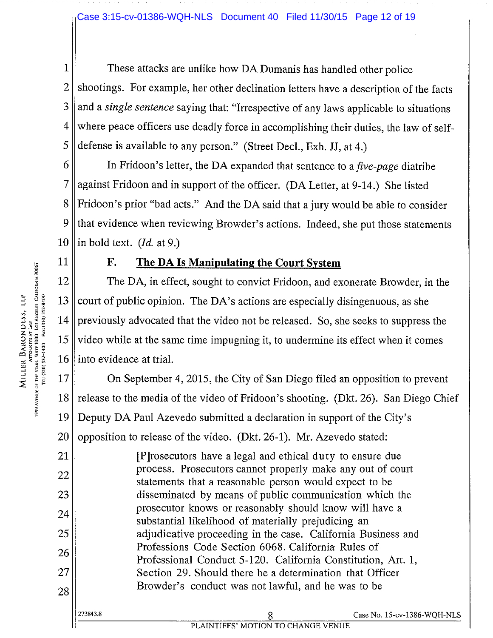1 These attacks are unlike how DA Dumanis has handled other police shootings. For example, her other declination letters have a description of the facts and a *single sentence* saying that: "Irrespective of any laws applicable to situations" where peace officers use deadly force in accomplishing their duties, the law of self-defense is available to any person." (Street Decl., Exh. JJ, at 4.)

6  $\parallel$  In Fridoon's letter, the DA expanded that sentence to a *five-page* diatribe  $7$  against Fridoon and in support of the officer. (DA Letter, at 9-14.) She listed  $8 \parallel$  Fridoon's prior "bad acts." And the DA said that a jury would be able to consider  $9$  that evidence when reviewing Browder's actions. Indeed, she put those statements 10 || in bold text. (*Id.* at 9.)

## 11  $\parallel$  F. The DA Is Manipulating the Court System

12 The DA, in effect, sought to convict Fridoon, and exonerate Browder, in the 13 court of public opinion. The DA's actions are especially disingenuous, as she 14 previously advocated that the video not be released. So, she seeks to suppress the <sup>~</sup> ~ <sup>15</sup> video while at the same time impugning it, to undermine its effect when it comes 16 l into evidence at trial.

17 **On September 4, 2015, the City of San Diego filed an opposition to prevent** 18 || release to the media of the video of Fridoon's shooting. (Dkt. 26). San Diego Chief 19 Deputy DA Paul Azevedo submitted <sup>a</sup> declaration in support of the City's 20 || opposition to release of the video. (Dkt. 26-1). Mr. Azevedo stated:

21 [P]rosecutors have <sup>a</sup> legal and ethical duty to ensure due 22 process. Prosecutors cannot properly make any out of court statements that a reasonable person would expect to be 23 disseminated by means of public communication which the  $24$  prosecutor knows or reasonably should know will have a substantial likelihood of materially prejudicing an 25 || adjudicative proceeding in the case. California Business and 26 Professions Code Section 6068. California Rules of Professional Conduct 5-120. California Constitution, Art. 1, 27 || Section 29. Should there be a determination that Officer  $28$  Browder's conduct was not lawful, and he was to be

273843.8 8 Case No. 15-cv-1386.WQH-NL5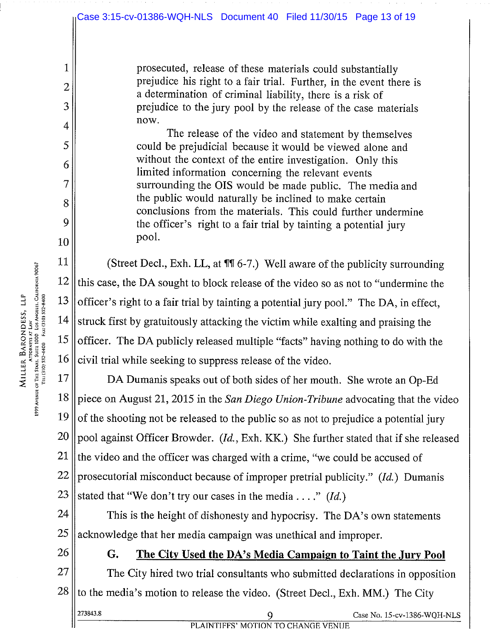<sup>1</sup> prosecuted, release of these materials could substantially  $2 \parallel$  prejudice his right to a fair trial. Further, in the event there is <sup>a</sup> determination of criminal liability, there is <sup>a</sup> risk of 3 ||

 $4 \parallel$  now.<br>The release of the video and statement by themselves 5 ||  $\begin{array}{c|c}\n6 & \text{without the context of the entire investigation. Only this} \\
\hline\n\end{array}$ 7 || surrounding the OIS would be made public. The media and  $8 \parallel$  the public would naturally be inclined to make certain conclusions from the materials. This could further undermine 9 || the officer's right to a fair trial by tainting a potential jury  $10$  pool.

11 (Street Decl., Exh. LL, at  $\P$ 1 6-7.) Well aware of the publicity surrounding this case, the DA sought to block release of the video so as not to "undermine the  $\parallel$  officer's right to a fair trial by tainting a potential jury pool." The DA, in effect, struck first by gratuitously attacking the victim while exalting and praising the  $\frac{1}{2}$ <br>  $\frac{1}{2}$ <br>  $\frac{1}{2}$ <br>  $\frac{1}{2}$ <br>  $\frac{1}{2}$ <br>  $\frac{1}{2}$ <br>  $\frac{1}{2}$ <br>  $\frac{1}{2}$ <br>  $\frac{1}{2}$ <br>  $\frac{1}{2}$ <br>  $\frac{1}{2}$ <br>  $\frac{1}{2}$ <br>  $\frac{1}{2}$ <br>  $\frac{1}{2}$ <br>  $\frac{1}{2}$ <br>  $\frac{1}{2}$ <br>  $\frac{1}{2}$ <br>  $\frac{1}{2}$ <br>  $\frac{1}{2}$ <br>  $\frac{1}{2}$ <br> civil trial while seeking to suppress release of the video.

17 **DA Dumanis speaks out of both sides of her mouth. She wrote an Op-Ed** 18 piece on August 21, 2015 in the San Diego Union-Tribune advocating that the video  $19$  of the shooting not be released to the public so as not to prejudice a potential jury 20 pool against Officer Browder. (Id., Exh. KK.) She further stated that if she released 21 the video and the officer was charged with a crime, "we could be accused of 22 || prosecutorial misconduct because of improper pretrial publicity." (*Id.*) Dumanis 23 stated that "We don't try our cases in the media...." (Id.)

 $24$  This is the height of dishonesty and hypocrisy. The DA's own statements  $25$  acknowledge that her media campaign was unethical and improper.

Attorneys at Law<br>1999 Avenue of The Stars, Suite 1000 Los Angeles, Calhornia 90067<br>- Tel: (310) 552-4400 – Fax: (310) 552-8400

## $26 \parallel$  G. The City Used the DA's Media Campaign to Taint the Jury Pool

 $27$  The City hired two trial consultants who submitted declarations in opposition  $28$  to the media's motion to release the video. (Street Decl., Exh. MM.) The City

273843.8 9 Case No. 15-cv-1386.WQH-NL5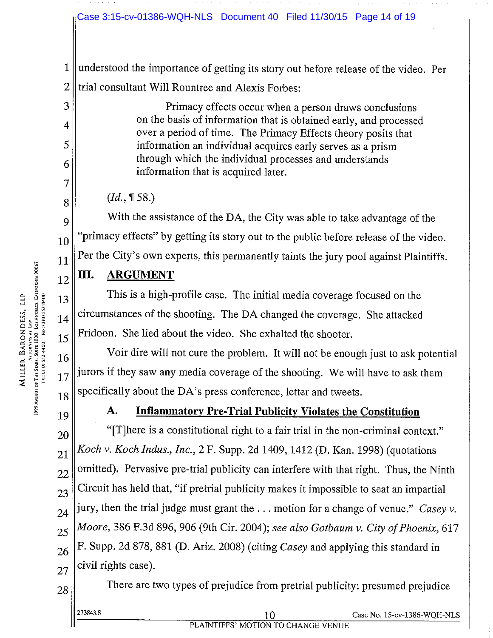#### Case 3:15-cv-01386-WQH-NLS Document 40 Filed 11/30/15 Page 14 of 19

<sup>1</sup> understood the importance of getting its story out before release of the video. Per  $2$  I trial consultant Will Rountree and Alexis Forbes:

3 ||  $\|4\|$  on the basis of information that is obtained early, and processed over <sup>a</sup> period of time. The Primacy Effects theory posits that 5 information an individual acquires early serves as a prism  $\begin{array}{c|l}\n6 & \text{through which the individual processes and understands} \\
\hline\n\end{array}$ 

 $8 \parallel$  (Id., ¶58.)

9 With the assistance of the DA, the City was able to take advantage of the  $10$  "primacy effects" by getting its story out to the public before release of the video. Per the City's own experts, this permanently taints the jury pool against Plaintiffs.

# $_{12}$ ||III. ARGUMENT

<sup>~</sup> \$ <sup>~</sup> 13 This is <sup>a</sup> high-profile case. The initial media coverage focused on the  $_{14}$  circumstances of the shooting. The DA changed the coverage. She attacked  $15$  Fridoon. She lied about the video. She exhalted the shooter.

 $16$  Voir dire will not cure the problem. It will not be enough just to ask potential jurors if they saw any media coverage of the shooting. We will have to ask them  $18$  specifically about the DA's press conference, letter and tweets.

17

Attorneys at Law<br>1999 Avenue of The Stars, Suite 1000 Los Angles, California 90067<br>Tel: (310) 552-4400 Fax: (310) 552-8400

7

11

# $\|19\|$  A. Inflammatory Pre-Trial Publicity Violates the Constitution

 "[T]here is a constitutional right to a fair trial in the non-criminal context."  $_{21}$  Koch v. Koch Indus., Inc., 2 F. Supp. 2d 1409, 1412 (D. Kan. 1998) (quotations omitted). Pervasive pre-trial publicity can interfere with that right. Thus, the Ninth Circuit has held that, "if pretrial publicity makes it impossible to seat an impartial  $_{24}$  jury, then the trial judge must grant the ... motion for a change of venue." Casey v.  $\parallel$  Moore, 386 F.3d 896, 906 (9th Cir. 2004); see also Gotbaum v. City of Phoenix, 617  $_{26}$  F. Supp. 2d 878, 881 (D. Ariz. 2008) (citing *Casey* and applying this standard in civil rights case).

 $28$  There are two types of prejudice from pretrial publicity: presumed prejudice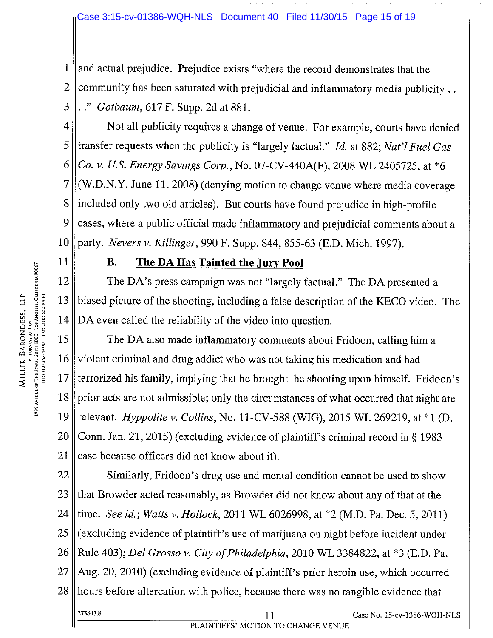#### Case 3:15-cv-01386-WQH-NLS Document 40 Filed 11/30/15 Page 15 of 19

 $1$  || and actual prejudice. Prejudice exists "where the record demonstrates that the  $2$  community has been saturated with prejudicial and inflammatory media publicity..  $3 \| \cdot \cdot \cdot$  Gotbaum, 617 F. Supp. 2d at 881.

4 | Not all publicity requires a change of venue. For example, courts have denied 5 || transfer requests when the publicity is "largely factual." Id. at 882; Nat'l Fuel Gas 6 || Co. v. U.S. Energy Savings Corp., No. 07-CV-440A(F), 2008 WL 2405725, at  $*6$  $7$  (W.D.N.Y. June 11, 2008) (denying motion to change venue where media coverage 8 lincluded only two old articles). But courts have found prejudice in high-profile 9 cases, where a public official made inflammatory and prejudicial comments about a 10 || party. Nevers v. Killinger, 990 F. Supp. 844, 855-63 (E.D. Mich. 1997).

#### 11 **B.** The DA Has Tainted the Jury Pool

12 The DA's press campaign was not "largely factual." The DA presented a 13 biased picture of the shooting, including <sup>a</sup> false description of the KECO video. The

**EXECUAL EXECUAL EXECUAL EVERT (NUTRE PARTISE LIFE DATA EXECUAL EXECUTE:**<br> **EXECUTE DA PARTISE CONFIDENCE CONFINSTANCE CONFINSTANCE CONFINSTRATION**<br> **EXECUTE:**<br> **EXECUTE CONFINSTRATION**<br> **EXECUTE:**<br> **EXECUTE CONFINSTRATIO**  $\frac{2}{3}$ <br>  $\frac{3}{3}$   $\frac{2}{3}$   $\frac{3}{3}$   $\frac{3}{3}$   $\frac{3}{3}$   $\frac{3}{3}$   $\frac{3}{3}$   $\frac{3}{3}$   $\frac{3}{3}$   $\frac{3}{3}$   $\frac{3}{3}$   $\frac{3}{3}$   $\frac{3}{3}$   $\frac{3}{3}$   $\frac{3}{3}$   $\frac{3}{3}$   $\frac{3}{3}$   $\frac{3}{3}$   $\frac{3}{3}$   $\frac{3}{3}$   $\frac{3}{3}$  16 violent criminal and drug addict who was not taking his medication and had 17  $\parallel$  terrorized his family, implying that he brought the shooting upon himself. Fridoon's  $18$  | prior acts are not admissible; only the circumstances of what occurred that night are 19 Televant. *Hyppolite v. Collins*, No. 11-CV-588 (WIG), 2015 WL 269219, at  $*1$  (D. 20 Conn. Jan. 21, 2015) (excluding evidence of plaintiff's criminal record in § 1983 21 || case because officers did not know about it).

 $22$  Similarly, Fridoon's drug use and mental condition cannot be used to show  $23$  that Browder acted reasonably, as Browder did not know about any of that at the 24 time. See id.; Watts v. Hollock, 2011 WL 6026998, at \*2 (M.D. Pa. Dec. 5, 2011)  $25$  (excluding evidence of plaintiff's use of marijuana on night before incident under 26 || Rule 403); Del Grosso v. City of Philadelphia, 2010 WL 3384822, at  $*3$  (E.D. Pa.  $27$   $\parallel$  Aug. 20, 2010) (excluding evidence of plaintiff's prior heroin use, which occurred 28 hours before altercation with police, because there was no tangible evidence that 273843.8 11 Case No. 15-cv-1386.WQH-NLS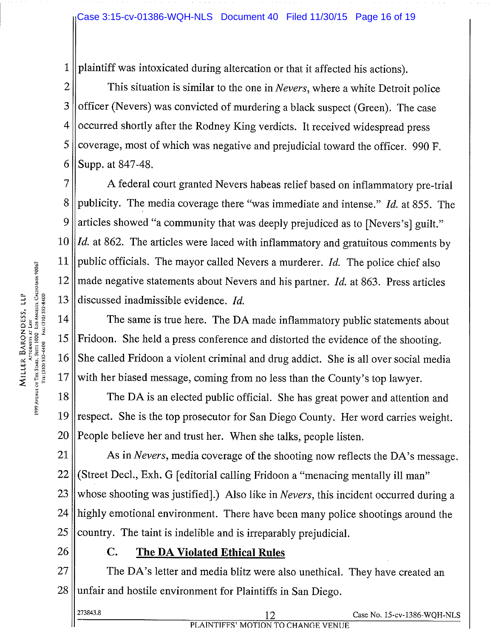<sup>1</sup> plaintiff was intoxicated during altercation or that it affected his actions).

 $2 \parallel$  This situation is similar to the one in *Nevers*, where a white Detroit police  $3$  | officer (Nevers) was convicted of murdering a black suspect (Green). The case  $4$  | occurred shortly after the Rodney King verdicts. It received widespread press  $5$  | coverage, most of which was negative and prejudicial toward the officer. 990 F. 6 Supp. at  $847-48$ .

7 ||<br>A federal court granted Nevers habeas relief based on inflammatory pre-trial 8 publicity. The media coverage there "was immediate and intense." Id. at 855. The 9 || articles showed "a community that was deeply prejudiced as to [Nevers's] guilt." 10 ||  $Id$ . at 862. The articles were laced with inflammatory and gratuitous comments by 11 || public officials. The mayor called Nevers a murderer. *Id.* The police chief also  $12$  made negative statements about Nevers and his partner. *Id.* at 863. Press articles 13 discussed inadmissible evidence. *Id.* 

 $|| \tT|$  The same is true here. The DA made inflammatory public statements about  $15$  Fridoon. She held a press conference and distorted the evidence of the shooting. 16 She called Fridoon a violent criminal and drug addict. She is all over social media  $17$  with her biased message, coming from no less than the County's top lawyer.

18 The DA is an elected public official. She has great power and attention and 19 respect. She is the top prosecutor for San Diego County. Her word carries weight.  $20$  People believe her and trust her. When she talks, people listen.

 $21$  As in *Nevers*, media coverage of the shooting now reflects the DA's message.  $22$  (Street Decl., Exh. G [editorial calling Fridoon a "menacing mentally ill man" 23 whose shooting was justified].) Also like in *Nevers*, this incident occurred during a 24 || highly emotional environment. There have been many police shootings around the  $25$  || country. The taint is indelible and is irreparably prejudicial.

## $26 \parallel$  C. The DA Violated Ethical Rules

27 || The DA's letter and media blitz were also unethical. They have created an  $28$  || unfair and hostile environment for Plaintiffs in San Diego.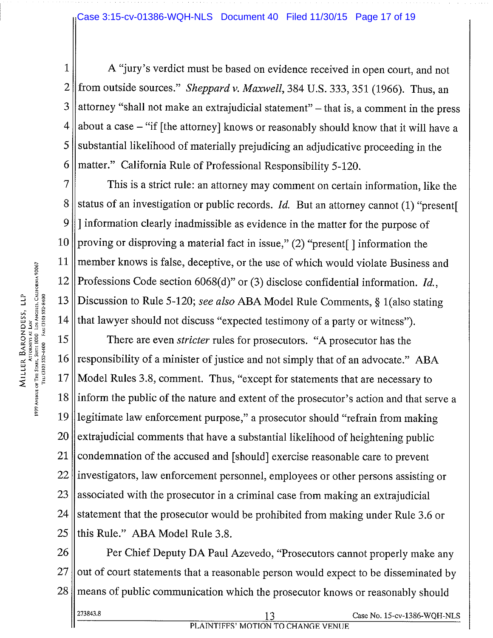#### Case 3:15-cv-01386-WQH-NLS Document 40 Filed 11/30/15 Page 17 of 19

1 | A "jury's verdict must be based on evidence received in open court, and not 2 from outside sources." Sheppard v. Maxwell, 384 U.S. 333, 351 (1966). Thus, an 3 attorney "shall not make an extrajudicial statement" – that is, a comment in the press  $4$  about a case – "if [the attorney] knows or reasonably should know that it will have a  $5$  substantial likelihood of materially prejudicing an adjudicative proceeding in the 6 || matter." California Rule of Professional Responsibility 5-120.

7 This is a strict rule: an attorney may comment on certain information, like the 8 status of an investigation or public records. Id. But an attorney cannot (1) "present 9 || 1 information clearly inadmissible as evidence in the matter for the purpose of 10 || proving or disproving a material fact in issue,"  $(2)$  "present | ] information the 11 member knows is false, deceptive, or the use of which would violate Business and 12 | Professions Code section 6068(d)" or (3) disclose confidential information. *Id.*,  $14$  that lawyer should not discuss "expected testimony of a party or witness").

2 Professions Code section 6068(d)" or (3) disclose confidential information. *Id.*,<br>  $\frac{3}{2}$   $\frac{2}{3}$   $\frac{2}{3}$  Discussion to Rule 5-120; see also ABA Model Rule Comments, § 1(also stating<br>  $\frac{3}{2}$   $\frac{2}{3}$   $\frac{2}{3$ 15 There are even *stricter* rules for prosecutors. "A prosecutor has the responsibility of a minister of justice and not simply that of an advocate." ABA Model Rules 3.8, comment. Thus, "except for statements that are necessary to inform the public of the nature and extent of the prosecutor's action and that serve a legitimate law enforcement purpose," a prosecutor should "refrain from making extrajudicial comments that have a substantial likelihood of heightening public 21 condemnation of the accused and [should] exercise reasonable care to prevent investigators, law enforcement personnel, employees or other persons assisting or associated with the prosecutor in a criminal case from making an extrajudicial 24 statement that the prosecutor would be prohibited from making under Rule 3.6 or this Rule." ABA Model Rule 3.8.

26 **Per Chief Deputy DA Paul Azevedo, "Prosecutors cannot properly make any**  $27$  out of court statements that a reasonable person would expect to be disseminated by 28 means of public communication which the prosecutor knows or reasonably should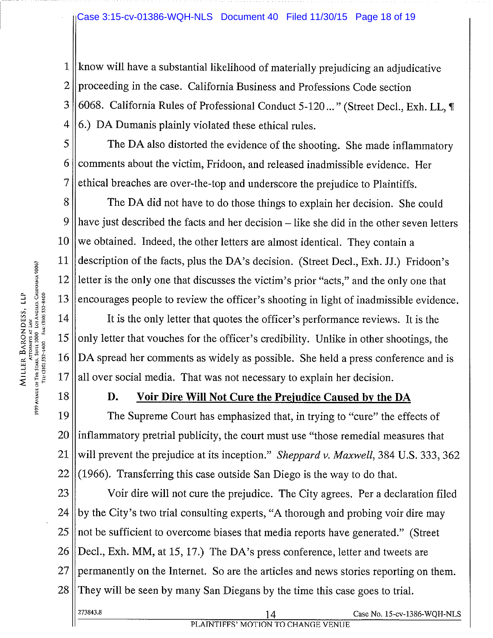#### Case 3:15-cv-01386-WQH-NLS Document 40 Filed 11/30/15 Page 18 of 19

 $1$  || know will have a substantial likelihood of materially prejudicing an adjudicative  $2 \parallel$  proceeding in the case. California Business and Professions Code section 3 6068. California Rules of Professional Conduct 5-120..." (Street Decl., Exh. LL, ¶  $4 \parallel 6$ .) DA Dumanis plainly violated these ethical rules.

 $5$  The DA also distorted the evidence of the shooting. She made inflammatory  $6$  comments about the victim, Fridoon, and released inadmissible evidence. Her  $7$  ethical breaches are over-the-top and underscore the prejudice to Plaintiffs.

8 The DA did not have to do those things to explain her decision. She could have just described the facts and her decision — like she did in the other seven letters we obtained. Indeed, the other letters are almost identical. They contain a description of the facts, plus the DA's decision. (Street Decl., Exh. JJ.) Fridoon's letter is the only one that discusses the victim's prior "acts," and the only one that

<sup>33</sup><br>
<sup>11</sup><br>
<sup>12</sup><br>
<sup>13</sup><br>
<sup>13</sup><br>
<sup>13</sup><br>
<sup>13</sup><br>
<sup>13</sup><br>
<sup>13</sup><br>
<sup>13</sup><br>
<sup>13</sup><br>
<sup>13</sup><br>
<sup>14</sup><br>
<sup>15</sup><br>
<sup>14</sup><br>
<sup>15</sup><br>
<sup>14</sup><br>
<sup>15</sup><br>
<sup>14</sup><br>
<sup>15</sup><br>
<sup>15</sup><br>
<sup>15</sup><br>
<sup>16</sup><br>
 DA spread her comments as widely as possible. She held a press conference and is<br>  $|| \cdot || \cdot ||$  It is the only letter that quotes the officer's performance reviews. It is the 15 || only letter that vouches for the officer's credibility. Unlike in other shootings, the 16 DA spread her comments as widely as possible. She held <sup>a</sup> press conference and is  $17$  all over social media. That was not necessary to explain her decision.

#### 18 **B.** D. Voir Dire Will Not Cure the Prejudice Caused by the DA

19 The Supreme Court has emphasized that, in trying to "cure" the effects of  $20$  || inflammatory pretrial publicity, the court must use "those remedial measures that 21 || will prevent the prejudice at its inception." Sheppard v. Maxwell, 384 U.S. 333, 362  $22 \parallel (1966)$ . Transferring this case outside San Diego is the way to do that.

  $\parallel$  Voir dire will not cure the prejudice. The City agrees. Per a declaration filed | by the City's two trial consulting experts, "A thorough and probing voir dire may || not be sufficient to overcome biases that media reports have generated." (Street || Decl., Exh. MM, at 15, 17.) The DA's press conference, letter and tweets are permanently on the Internet. So are the articles and news stories reporting on them. They will be seen by many San Diegans by the time this case goes to trial.

PLAINTIFFS' MOTION TO CHANGE VENUE